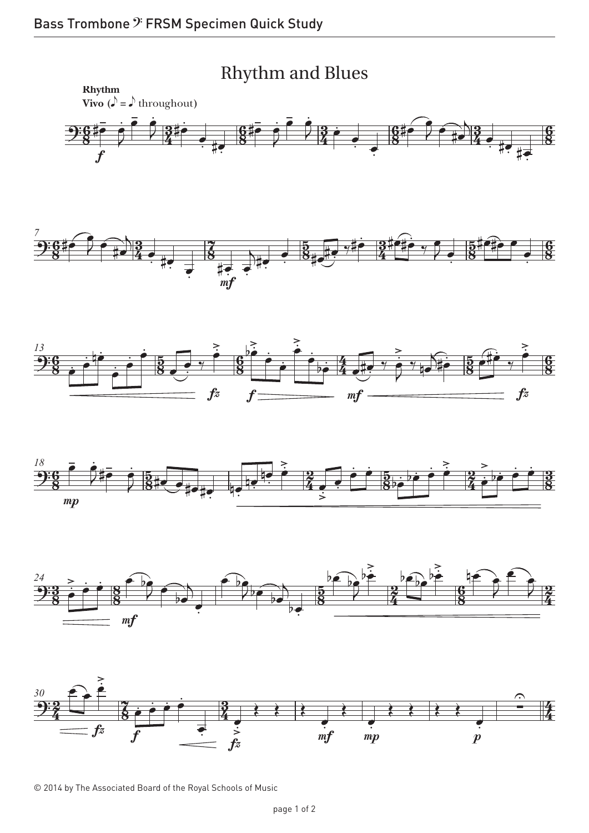









© 2014 by The Associated Board of the Royal Schools of Music